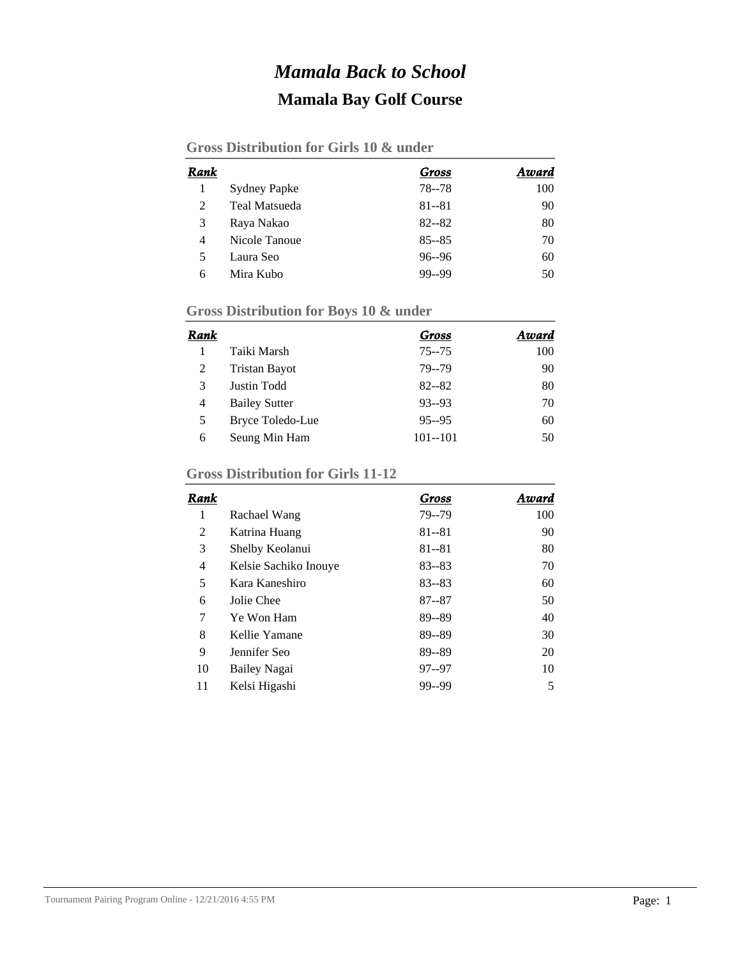## *Mamala Back to School* **Mamala Bay Golf Course**

| Rank |                      | Gross     | Award |
|------|----------------------|-----------|-------|
|      | <b>Sydney Papke</b>  | 78 - 78   | 100   |
| 2    | <b>Teal Matsueda</b> | $81 - 81$ | 90    |
| 3    | Raya Nakao           | $82 - 82$ | 80    |
| 4    | Nicole Tanoue        | $85 - 85$ | 70    |
| 5    | Laura Seo            | $96 - 96$ | 60    |
| 6    | Mira Kubo            | 99--99    | 50    |

## **Gross Distribution for Boys 10 & under**

| Rank |                      | Gross       | Award |
|------|----------------------|-------------|-------|
|      | Taiki Marsh          | $75 - 75$   | 100   |
| 2    | <b>Tristan Bayot</b> | 79--79      | 90    |
| 3    | Justin Todd          | $82 - 82$   | 80    |
| 4    | <b>Bailey Sutter</b> | $93 - 93$   | 70    |
| 5    | Bryce Toledo-Lue     | $95 - 95$   | 60    |
| 6    | Seung Min Ham        | $101 - 101$ | 50    |

## **Gross Distribution for Girls 11-12**

| Rank |                       | Gross     | Award |
|------|-----------------------|-----------|-------|
| 1    | Rachael Wang          | 79--79    | 100   |
| 2    | Katrina Huang         | $81 - 81$ | 90    |
| 3    | Shelby Keolanui       | $81 - 81$ | 80    |
| 4    | Kelsie Sachiko Inouve | $83 - 83$ | 70    |
| 5    | Kara Kaneshiro        | $83 - 83$ | 60    |
| 6    | Jolie Chee            | $87 - 87$ | 50    |
| 7    | Ye Won Ham            | 89--89    | 40    |
| 8    | Kellie Yamane         | 89--89    | 30    |
| 9    | Jennifer Seo          | 89--89    | 20    |
| 10   | Bailey Nagai          | $97 - 97$ | 10    |
| 11   | Kelsi Higashi         | 99--99    | 5     |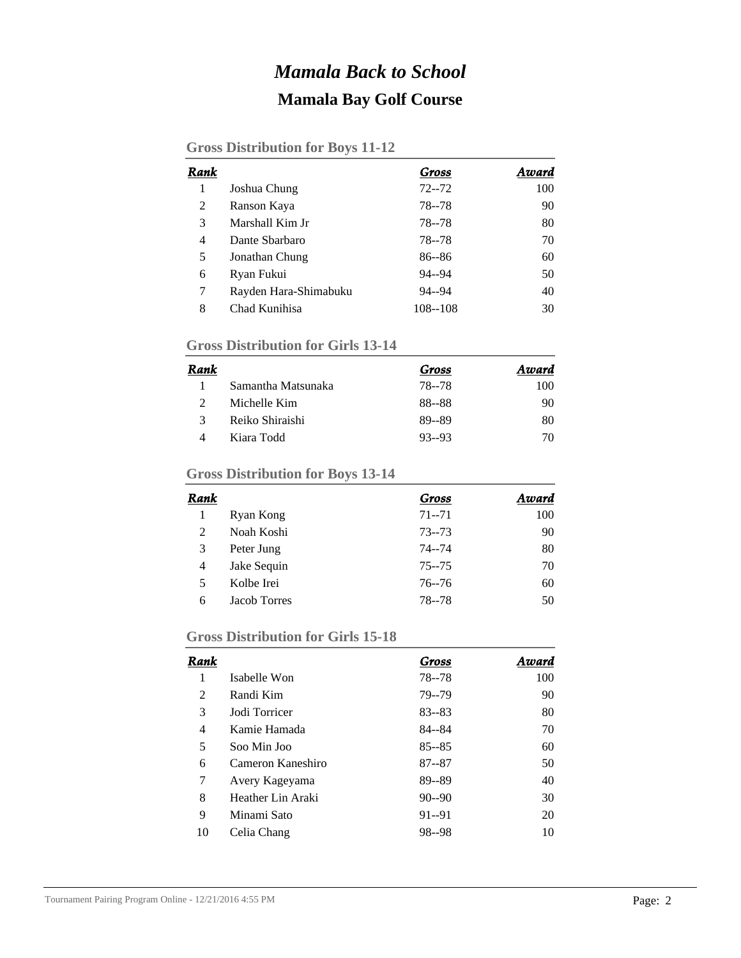## *Mamala Back to School* **Mamala Bay Golf Course**

#### **Gross Distribution for Boys 11-12**

| Rank |                       | Gross       | Award |
|------|-----------------------|-------------|-------|
|      | Joshua Chung          | $72 - 72$   | 100   |
| 2    | Ranson Kaya           | 78--78      | 90    |
| 3    | Marshall Kim Jr       | 78--78      | 80    |
| 4    | Dante Sharbaro        | 78 - - 78   | 70    |
| 5    | Jonathan Chung        | $86 - 86$   | 60    |
| 6    | Ryan Fukui            | 94--94      | 50    |
| 7    | Rayden Hara-Shimabuku | $94 - 94$   | 40    |
| 8    | Chad Kunihisa         | $108 - 108$ | 30    |

#### **Gross Distribution for Girls 13-14**

| Rank |                    | Gross     | Award |
|------|--------------------|-----------|-------|
|      | Samantha Matsunaka | 78--78    | 100   |
|      | Michelle Kim       | 88--88    | 90    |
| 3    | Reiko Shiraishi    | 89--89    | 80    |
|      | Kiara Todd         | $93 - 93$ | 70    |

### **Gross Distribution for Boys 13-14**

| Rank           |              | Gross     | Award |
|----------------|--------------|-----------|-------|
|                | Ryan Kong    | $71 - 71$ | 100   |
| 2              | Noah Koshi   | $73 - 73$ | 90    |
| 3              | Peter Jung   | $74 - 74$ | 80    |
| $\overline{4}$ | Jake Sequin  | $75 - 75$ | 70    |
| 5              | Kolbe Irei   | $76 - 76$ | 60    |
| 6              | Jacob Torres | 78--78    | 50    |

#### **Gross Distribution for Girls 15-18**

| Rank |                   | Gross     | Award |
|------|-------------------|-----------|-------|
| 1    | Isabelle Won      | 78 - - 78 | 100   |
| 2    | Randi Kim         | 79--79    | 90    |
| 3    | Jodi Torricer     | $83 - 83$ | 80    |
| 4    | Kamie Hamada      | 84--84    | 70    |
| 5    | Soo Min Joo       | $85 - 85$ | 60    |
| 6    | Cameron Kaneshiro | $87 - 87$ | 50    |
| 7    | Avery Kageyama    | 89--89    | 40    |
| 8    | Heather Lin Araki | $90 - 90$ | 30    |
| 9    | Minami Sato       | $91 - 91$ | 20    |
| 10   | Celia Chang       | 98--98    | 10    |